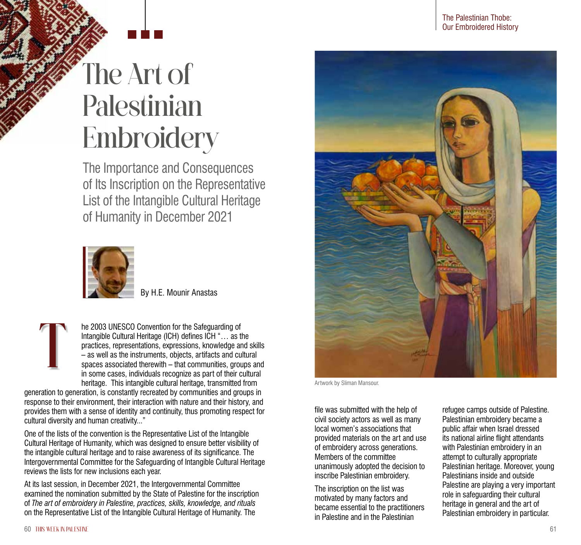## The Art of Palestinian **Embroidery**

The Importance and Consequences of Its Inscription on the Representative List of the Intangible Cultural Heritage of Humanity in December 2021



By H.E. Mounir Anastas

he 2003 UNESCO Convention for the Safeguarding of Intangible Cultural Heritage (ICH) defines ICH "… as the practices, representations, expressions, knowledge and skills – as well as the instruments, objects, artifacts and cultural spaces associated therewith – that communities, groups and in some cases, individuals recognize as part of their cultural heritage. This intangible cultural heritage, transmitted from  $\prod$ 

generation to generation, is constantly recreated by communities and groups in response to their environment, their interaction with nature and their history, and provides them with a sense of identity and continuity, thus promoting respect for cultural diversity and human creativity..."

One of the lists of the convention is the Representative List of the Intangible Cultural Heritage of Humanity, which was designed to ensure better visibility of the intangible cultural heritage and to raise awareness of its significance. The Intergovernmental Committee for the Safeguarding of Intangible Cultural Heritage reviews the lists for new inclusions each year.

At its last session, in December 2021, the Intergovernmental Committee examined the nomination submitted by the State of Palestine for the inscription of *The art of embroidery in Palestine, practices, skills, knowledge, and rituals* on the Representative List of the Intangible Cultural Heritage of Humanity. The



Artwork by Sliman Mansour.

file was submitted with the help of civil society actors as well as many local women's associations that provided materials on the art and use of embroidery across generations. Members of the committee unanimously adopted the decision to inscribe Palestinian embroidery.

The inscription on the list was motivated by many factors and became essential to the practitioners in Palestine and in the Palestinian

refugee camps outside of Palestine. Palestinian embroidery became a public affair when Israel dressed its national airline flight attendants with Palestinian embroidery in an attempt to culturally appropriate Palestinian heritage. Moreover, young Palestinians inside and outside Palestine are playing a very important role in safeguarding their cultural heritage in general and the art of Palestinian embroidery in particular.